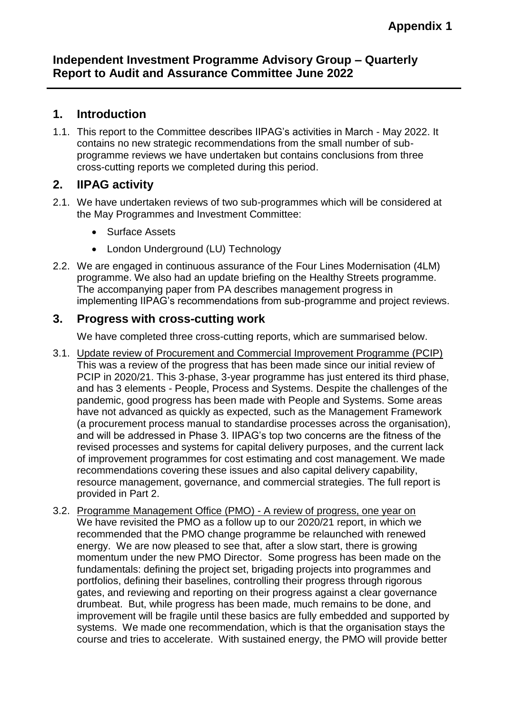# **Independent Investment Programme Advisory Group – Quarterly Report to Audit and Assurance Committee June 2022**

### **1. Introduction**

1.1. This report to the Committee describes IIPAG's activities in March - May 2022. It contains no new strategic recommendations from the small number of subprogramme reviews we have undertaken but contains conclusions from three cross-cutting reports we completed during this period.

# **2. IIPAG activity**

- 2.1. We have undertaken reviews of two sub-programmes which will be considered at the May Programmes and Investment Committee:
	- Surface Assets
	- London Underground (LU) Technology
- 2.2. We are engaged in continuous assurance of the Four Lines Modernisation (4LM) programme. We also had an update briefing on the Healthy Streets programme. The accompanying paper from PA describes management progress in implementing IIPAG's recommendations from sub-programme and project reviews.

# **3. Progress with cross-cutting work**

We have completed three cross-cutting reports, which are summarised below.

- 3.1. Update review of Procurement and Commercial Improvement Programme (PCIP) This was a review of the progress that has been made since our initial review of PCIP in 2020/21. This 3-phase, 3-year programme has just entered its third phase, and has 3 elements - People, Process and Systems. Despite the challenges of the pandemic, good progress has been made with People and Systems. Some areas have not advanced as quickly as expected, such as the Management Framework (a procurement process manual to standardise processes across the organisation), and will be addressed in Phase 3. IIPAG's top two concerns are the fitness of the revised processes and systems for capital delivery purposes, and the current lack of improvement programmes for cost estimating and cost management. We made recommendations covering these issues and also capital delivery capability, resource management, governance, and commercial strategies. The full report is provided in Part 2.
- 3.2. Programme Management Office (PMO) A review of progress, one year on We have revisited the PMO as a follow up to our 2020/21 report, in which we recommended that the PMO change programme be relaunched with renewed energy. We are now pleased to see that, after a slow start, there is growing momentum under the new PMO Director. Some progress has been made on the fundamentals: defining the project set, brigading projects into programmes and portfolios, defining their baselines, controlling their progress through rigorous gates, and reviewing and reporting on their progress against a clear governance drumbeat. But, while progress has been made, much remains to be done, and improvement will be fragile until these basics are fully embedded and supported by systems. We made one recommendation, which is that the organisation stays the course and tries to accelerate. With sustained energy, the PMO will provide better